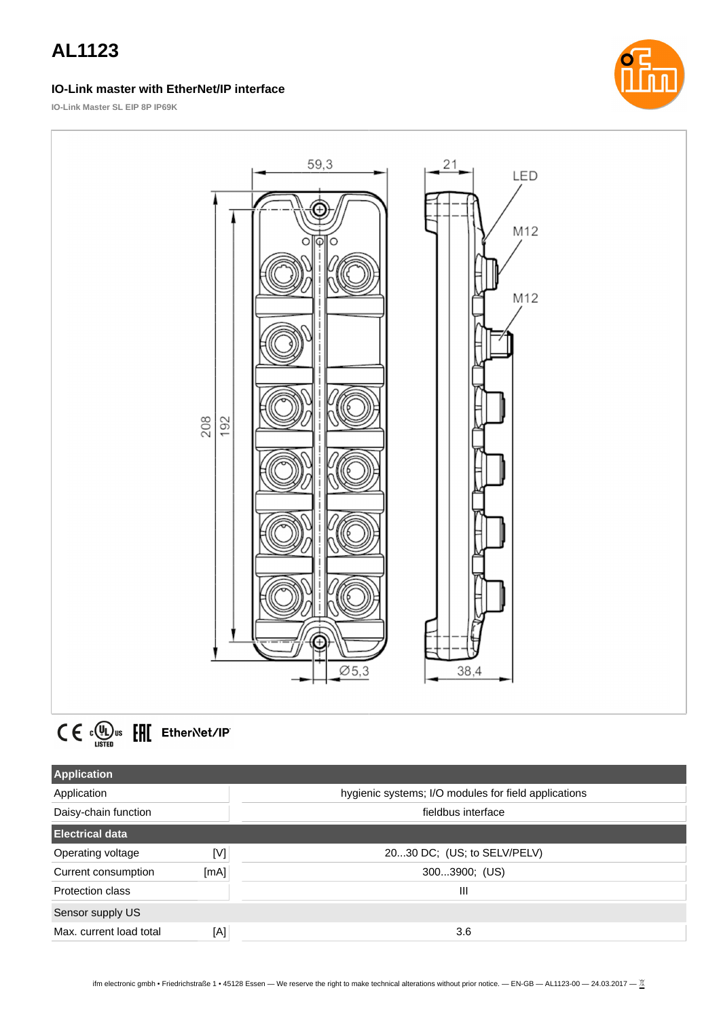#### **IO-Link master with EtherNet/IP interface**



**IO-Link Master SL EIP 8P IP69K**





| <b>Application</b>      |      |                                                      |
|-------------------------|------|------------------------------------------------------|
| Application             |      | hygienic systems; I/O modules for field applications |
| Daisy-chain function    |      | fieldbus interface                                   |
| <b>Electrical data</b>  |      |                                                      |
| Operating voltage       | [N]  | 2030 DC; (US; to SELV/PELV)                          |
| Current consumption     | [mA] | 3003900; (US)                                        |
| Protection class        |      | Ш                                                    |
| Sensor supply US        |      |                                                      |
| Max. current load total | [A]  | 3.6                                                  |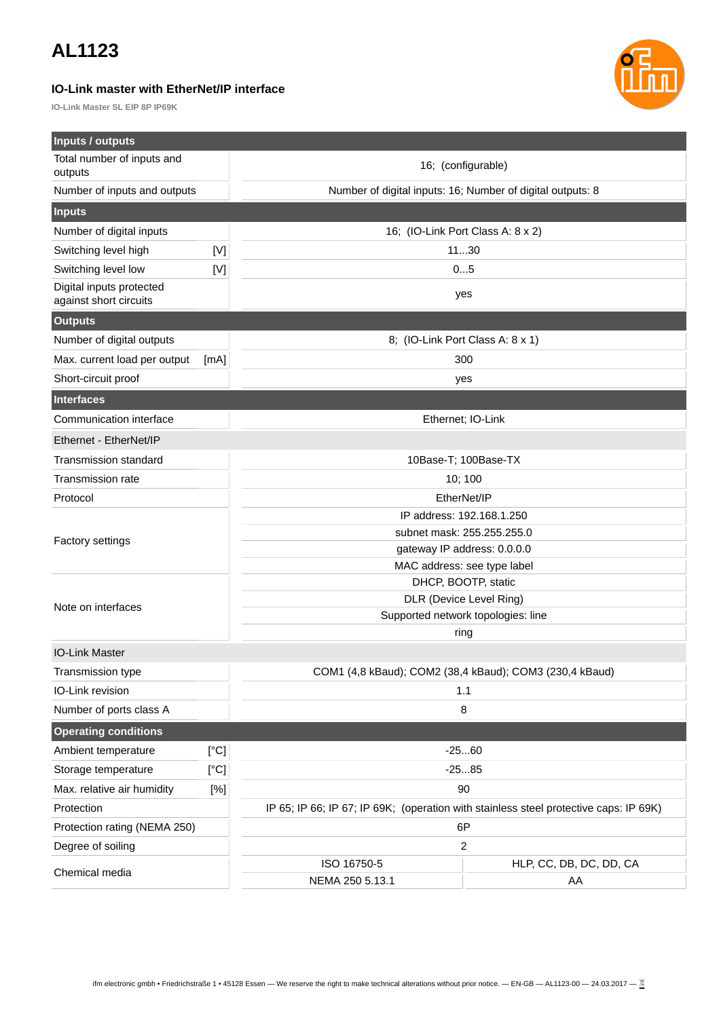### **IO-Link master with EtherNet/IP interface**

**IO-Link Master SL EIP 8P IP69K**



| Inputs / outputs                                   |                                                                                       |                                    |                                                            |  |
|----------------------------------------------------|---------------------------------------------------------------------------------------|------------------------------------|------------------------------------------------------------|--|
| Total number of inputs and                         |                                                                                       | 16; (configurable)                 |                                                            |  |
| outputs                                            |                                                                                       |                                    |                                                            |  |
| Number of inputs and outputs                       |                                                                                       |                                    | Number of digital inputs: 16; Number of digital outputs: 8 |  |
| <b>Inputs</b>                                      |                                                                                       |                                    |                                                            |  |
| Number of digital inputs                           |                                                                                       |                                    | 16; (IO-Link Port Class A: 8 x 2)                          |  |
| Switching level high                               | $[{\sf V}]$                                                                           |                                    | 1130                                                       |  |
| Switching level low<br>[V]                         |                                                                                       | 05                                 |                                                            |  |
| Digital inputs protected<br>against short circuits |                                                                                       |                                    | yes                                                        |  |
| <b>Outputs</b>                                     |                                                                                       |                                    |                                                            |  |
| Number of digital outputs                          |                                                                                       | 8; (IO-Link Port Class A: 8 x 1)   |                                                            |  |
| Max. current load per output                       | [mA]                                                                                  |                                    | 300                                                        |  |
| Short-circuit proof                                |                                                                                       |                                    | yes                                                        |  |
| <b>Interfaces</b>                                  |                                                                                       |                                    |                                                            |  |
| Communication interface                            |                                                                                       |                                    | Ethernet; IO-Link                                          |  |
| Ethernet - EtherNet/IP                             |                                                                                       |                                    |                                                            |  |
| Transmission standard                              |                                                                                       | 10Base-T; 100Base-TX               |                                                            |  |
| Transmission rate                                  |                                                                                       | 10; 100                            |                                                            |  |
| Protocol                                           |                                                                                       | EtherNet/IP                        |                                                            |  |
|                                                    |                                                                                       | IP address: 192.168.1.250          |                                                            |  |
|                                                    |                                                                                       | subnet mask: 255.255.255.0         |                                                            |  |
| Factory settings                                   |                                                                                       | gateway IP address: 0.0.0.0        |                                                            |  |
|                                                    |                                                                                       | MAC address: see type label        |                                                            |  |
|                                                    |                                                                                       |                                    | DHCP, BOOTP, static                                        |  |
| Note on interfaces                                 |                                                                                       |                                    | DLR (Device Level Ring)                                    |  |
|                                                    |                                                                                       | Supported network topologies: line |                                                            |  |
|                                                    |                                                                                       | ring                               |                                                            |  |
| <b>IO-Link Master</b>                              |                                                                                       |                                    |                                                            |  |
| Transmission type                                  |                                                                                       |                                    | COM1 (4,8 kBaud); COM2 (38,4 kBaud); COM3 (230,4 kBaud)    |  |
| IO-Link revision                                   |                                                                                       | 1.1                                |                                                            |  |
| Number of ports class A                            |                                                                                       |                                    | 8                                                          |  |
| <b>Operating conditions</b>                        |                                                                                       |                                    |                                                            |  |
| Ambient temperature                                | [°C]                                                                                  |                                    | $-2560$                                                    |  |
| Storage temperature                                | [°C]                                                                                  | $-2585$                            |                                                            |  |
| Max. relative air humidity                         | $[\%]$                                                                                | 90                                 |                                                            |  |
| Protection                                         | IP 65; IP 66; IP 67; IP 69K; (operation with stainless steel protective caps: IP 69K) |                                    |                                                            |  |
| Protection rating (NEMA 250)                       |                                                                                       | 6P                                 |                                                            |  |
| Degree of soiling                                  |                                                                                       | $\overline{c}$                     |                                                            |  |
| Chemical media                                     |                                                                                       | ISO 16750-5                        | HLP, CC, DB, DC, DD, CA                                    |  |
|                                                    |                                                                                       | NEMA 250 5.13.1                    | AA                                                         |  |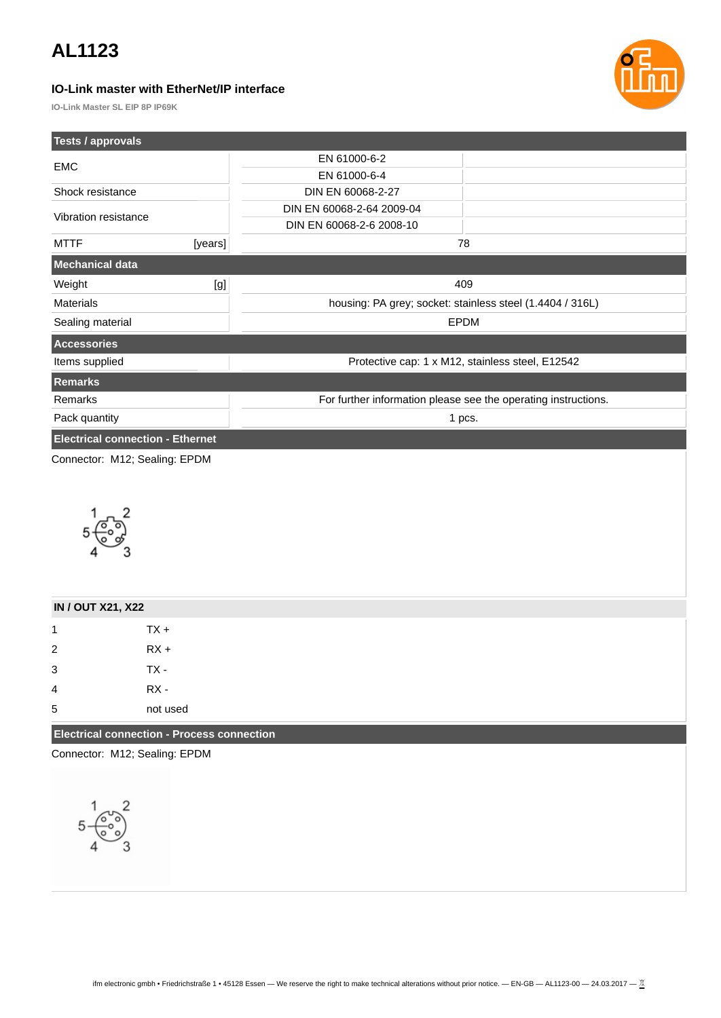### **IO-Link master with EtherNet/IP interface**



**IO-Link Master SL EIP 8P IP69K**

| Tests / approvals                       |         |                                                                |  |
|-----------------------------------------|---------|----------------------------------------------------------------|--|
| <b>EMC</b>                              |         | EN 61000-6-2                                                   |  |
|                                         |         | EN 61000-6-4                                                   |  |
| Shock resistance                        |         | DIN EN 60068-2-27                                              |  |
| Vibration resistance                    |         | DIN EN 60068-2-64 2009-04                                      |  |
|                                         |         | DIN EN 60068-2-6 2008-10                                       |  |
| <b>MTTF</b>                             | [years] | 78                                                             |  |
| Mechanical data                         |         |                                                                |  |
| Weight                                  | [g]     | 409                                                            |  |
| <b>Materials</b>                        |         | housing: PA grey; socket: stainless steel (1.4404 / 316L)      |  |
| Sealing material                        |         | <b>EPDM</b>                                                    |  |
| <b>Accessories</b>                      |         |                                                                |  |
| Items supplied                          |         | Protective cap: 1 x M12, stainless steel, E12542               |  |
| Remarks                                 |         |                                                                |  |
| Remarks                                 |         | For further information please see the operating instructions. |  |
| Pack quantity                           |         | 1 pcs.                                                         |  |
| <b>Electrical connection - Ethernet</b> |         |                                                                |  |
| Connector: M12; Sealing: EPDM           |         |                                                                |  |



| <b>IN / OUT X21, X22</b>                          |          |
|---------------------------------------------------|----------|
| 1                                                 | $TX +$   |
| $\overline{2}$                                    | $RX +$   |
| 3                                                 | $TX -$   |
| $\overline{4}$                                    | $RX -$   |
| 5                                                 | not used |
| <b>Electrical connection - Process connection</b> |          |

Connector: M12; Sealing: EPDM